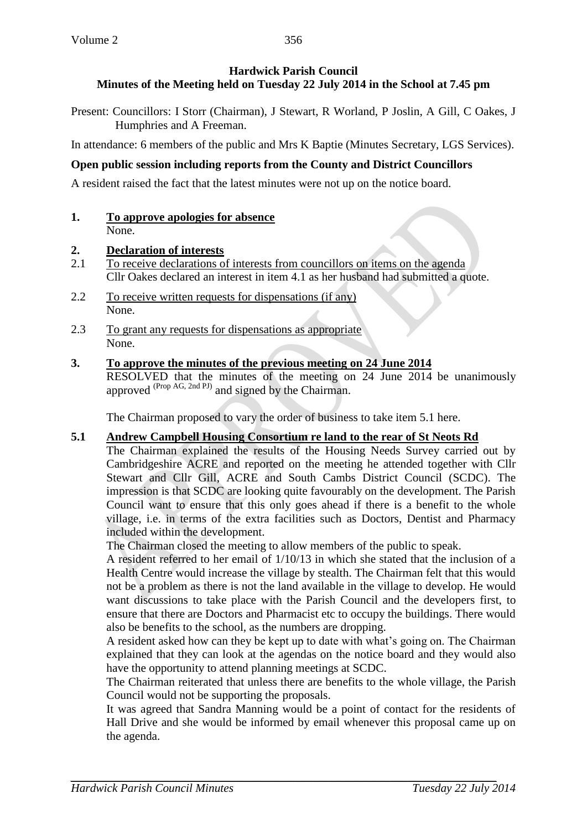Present: Councillors: I Storr (Chairman), J Stewart, R Worland, P Joslin, A Gill, C Oakes, J Humphries and A Freeman.

In attendance: 6 members of the public and Mrs K Baptie (Minutes Secretary, LGS Services).

# **Open public session including reports from the County and District Councillors**

A resident raised the fact that the latest minutes were not up on the notice board.

**1. To approve apologies for absence** None.

### **2. Declaration of interests**

- 2.1 To receive declarations of interests from councillors on items on the agenda Cllr Oakes declared an interest in item 4.1 as her husband had submitted a quote.
- 2.2 To receive written requests for dispensations (if any) None.
- 2.3 To grant any requests for dispensations as appropriate None.
- **3. To approve the minutes of the previous meeting on 24 June 2014**

RESOLVED that the minutes of the meeting on 24 June 2014 be unanimously approved <sup>(Prop AG, 2nd PJ)</sup> and signed by the Chairman.

The Chairman proposed to vary the order of business to take item 5.1 here.

## **5.1 Andrew Campbell Housing Consortium re land to the rear of St Neots Rd**

The Chairman explained the results of the Housing Needs Survey carried out by Cambridgeshire ACRE and reported on the meeting he attended together with Cllr Stewart and Cllr Gill, ACRE and South Cambs District Council (SCDC). The impression is that SCDC are looking quite favourably on the development. The Parish Council want to ensure that this only goes ahead if there is a benefit to the whole village, i.e. in terms of the extra facilities such as Doctors, Dentist and Pharmacy included within the development.

The Chairman closed the meeting to allow members of the public to speak.

A resident referred to her email of 1/10/13 in which she stated that the inclusion of a Health Centre would increase the village by stealth. The Chairman felt that this would not be a problem as there is not the land available in the village to develop. He would want discussions to take place with the Parish Council and the developers first, to ensure that there are Doctors and Pharmacist etc to occupy the buildings. There would also be benefits to the school, as the numbers are dropping.

A resident asked how can they be kept up to date with what's going on. The Chairman explained that they can look at the agendas on the notice board and they would also have the opportunity to attend planning meetings at SCDC.

The Chairman reiterated that unless there are benefits to the whole village, the Parish Council would not be supporting the proposals.

It was agreed that Sandra Manning would be a point of contact for the residents of Hall Drive and she would be informed by email whenever this proposal came up on the agenda.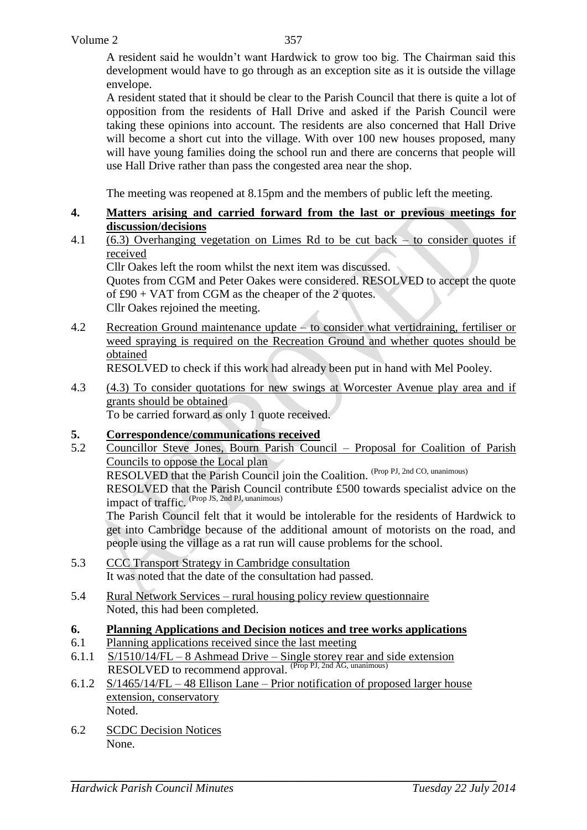A resident said he wouldn't want Hardwick to grow too big. The Chairman said this development would have to go through as an exception site as it is outside the village envelope.

A resident stated that it should be clear to the Parish Council that there is quite a lot of opposition from the residents of Hall Drive and asked if the Parish Council were taking these opinions into account. The residents are also concerned that Hall Drive will become a short cut into the village. With over 100 new houses proposed, many will have young families doing the school run and there are concerns that people will use Hall Drive rather than pass the congested area near the shop.

The meeting was reopened at 8.15pm and the members of public left the meeting.

#### **4. Matters arising and carried forward from the last or previous meetings for discussion/decisions**

4.1 (6.3) Overhanging vegetation on Limes Rd to be cut back – to consider quotes if received

Cllr Oakes left the room whilst the next item was discussed.

Quotes from CGM and Peter Oakes were considered. RESOLVED to accept the quote of £90 + VAT from CGM as the cheaper of the 2 quotes. Cllr Oakes rejoined the meeting.

4.2 Recreation Ground maintenance update – to consider what vertidraining, fertiliser or weed spraying is required on the Recreation Ground and whether quotes should be obtained

RESOLVED to check if this work had already been put in hand with Mel Pooley.

4.3 (4.3) To consider quotations for new swings at Worcester Avenue play area and if grants should be obtained

To be carried forward as only 1 quote received.

### **5. Correspondence/communications received**

- 5.2 Councillor Steve Jones, Bourn Parish Council Proposal for Coalition of Parish Councils to oppose the Local plan RESOLVED that the Parish Council join the Coalition. (Prop PJ, 2nd CO, unanimous) RESOLVED that the Parish Council contribute £500 towards specialist advice on the impact of traffic. (Prop JS, 2nd PJ, unanimous) The Parish Council felt that it would be intolerable for the residents of Hardwick to get into Cambridge because of the additional amount of motorists on the road, and people using the village as a rat run will cause problems for the school. 5.3 CCC Transport Strategy in Cambridge consultation It was noted that the date of the consultation had passed.
- 5.4 Rural Network Services rural housing policy review questionnaire Noted, this had been completed.

#### **6. Planning Applications and Decision notices and tree works applications**

- 6.1 Planning applications received since the last meeting
- 6.1.1 S/1510/14/FL 8 Ashmead Drive Single storey rear and side extension RESOLVED to recommend approval. (Prop PJ, 2nd AG, unanimous)
- 6.1.2 S/1465/14/FL 48 Ellison Lane Prior notification of proposed larger house extension, conservatory Noted.
- 6.2 SCDC Decision Notices None.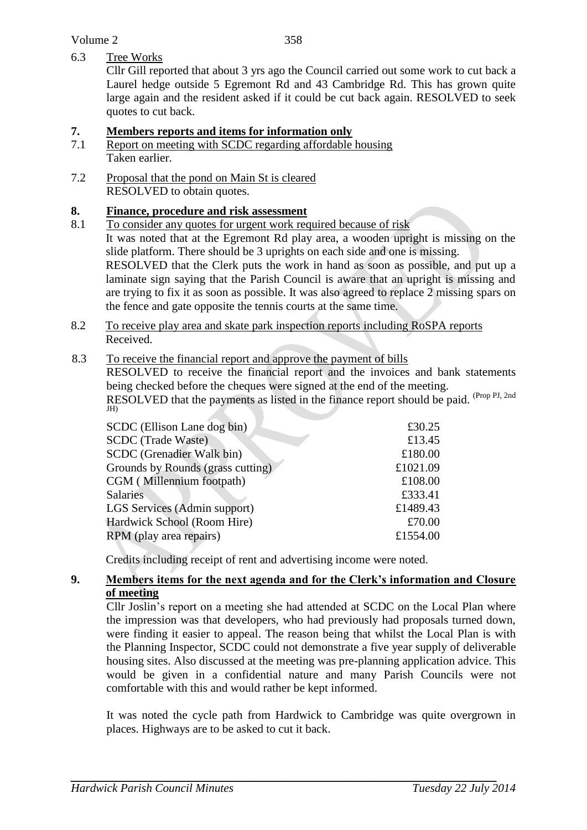### 6.3 Tree Works

Cllr Gill reported that about 3 yrs ago the Council carried out some work to cut back a Laurel hedge outside 5 Egremont Rd and 43 Cambridge Rd. This has grown quite large again and the resident asked if it could be cut back again. RESOLVED to seek quotes to cut back.

### **7. Members reports and items for information only**

- 7.1 Report on meeting with SCDC regarding affordable housing Taken earlier.
- 7.2 Proposal that the pond on Main St is cleared RESOLVED to obtain quotes.

### **8. Finance, procedure and risk assessment**

- 8.1 To consider any quotes for urgent work required because of risk
- It was noted that at the Egremont Rd play area, a wooden upright is missing on the slide platform. There should be 3 uprights on each side and one is missing. RESOLVED that the Clerk puts the work in hand as soon as possible, and put up a laminate sign saying that the Parish Council is aware that an upright is missing and are trying to fix it as soon as possible. It was also agreed to replace 2 missing spars on the fence and gate opposite the tennis courts at the same time.
- 8.2 To receive play area and skate park inspection reports including RoSPA reports Received.

### 8.3 To receive the financial report and approve the payment of bills

RESOLVED to receive the financial report and the invoices and bank statements being checked before the cheques were signed at the end of the meeting.

RESOLVED that the payments as listed in the finance report should be paid. (Prop PJ, 2nd) JH)

| SCDC (Ellison Lane dog bin)       | £30.25   |
|-----------------------------------|----------|
| <b>SCDC</b> (Trade Waste)         | £13.45   |
| SCDC (Grenadier Walk bin)         | £180.00  |
| Grounds by Rounds (grass cutting) | £1021.09 |
| CGM (Millennium footpath)         | £108.00  |
| <b>Salaries</b>                   | £333.41  |
| LGS Services (Admin support)      | £1489.43 |
| Hardwick School (Room Hire)       | £70.00   |
| RPM (play area repairs)           | £1554.00 |

Credits including receipt of rent and advertising income were noted.

### **9. Members items for the next agenda and for the Clerk's information and Closure of meeting**

Cllr Joslin's report on a meeting she had attended at SCDC on the Local Plan where the impression was that developers, who had previously had proposals turned down, were finding it easier to appeal. The reason being that whilst the Local Plan is with the Planning Inspector, SCDC could not demonstrate a five year supply of deliverable housing sites. Also discussed at the meeting was pre-planning application advice. This would be given in a confidential nature and many Parish Councils were not comfortable with this and would rather be kept informed.

It was noted the cycle path from Hardwick to Cambridge was quite overgrown in places. Highways are to be asked to cut it back.